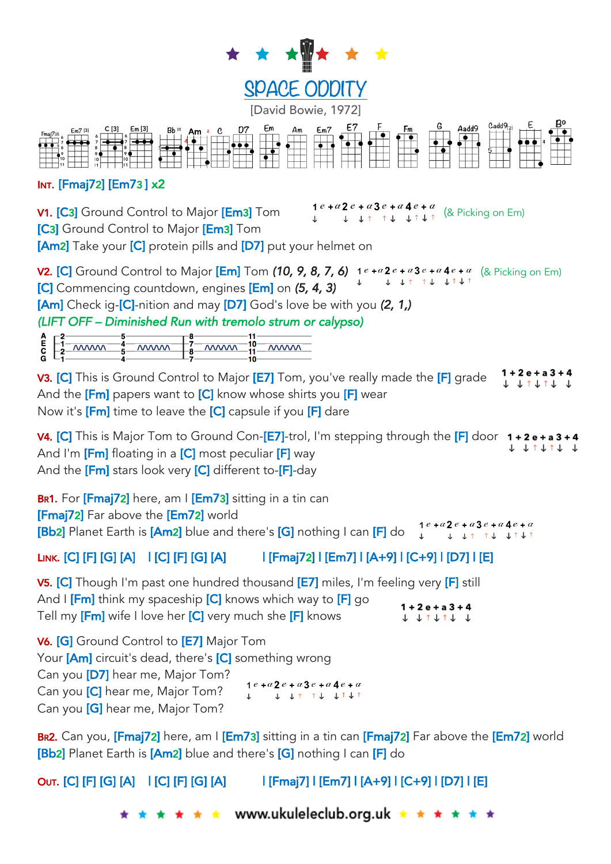



## INT. [Fmaj72] [Em73 ] x2

[C3] Ground Control to Major [Em3] Tom

**V1. [C3]** Ground Control to Major **[Em3]** Tom  $\begin{array}{ccc} 1 & e+a2 & e+a3 & e+a4 & e+a \\ \downarrow & \downarrow & \downarrow & \uparrow & \downarrow & \downarrow \uparrow \end{array}$  (& Picking on Em)

 $\mathbf{r}$ 

[Am2] Take your [C] protein pills and [D7] put your helmet on

**V2. [C]** Ground Control to Major **[Em]** Tom **(10, 9, 8, 7, 6)**  $1^e + a^2 e + a^3 e + a^4 e + a$  (& Picking on Em) [C] Commencing countdown, engines [Em] on *(5, 4, 3)*

[Am] Check ig-[C]-nition and may [D7] God's love be with you *(2, 1,)* 

*(LIFT OFF – Diminished Run with tremolo strum or calypso)* 

| $\frac{4}{5}$ MWM $\frac{1}{8}$ MWM $\frac{10}{11}$ MWM                                   |  |
|-------------------------------------------------------------------------------------------|--|
| $\overline{c}$ $\overline{c}$ $\overline{c}$ $\overline{c}$ $\overline{c}$ $\overline{c}$ |  |
|                                                                                           |  |
|                                                                                           |  |

1 + 2 e + a 3 + 4 V3. [C] This is Ground Control to Major [E7] Tom, you've really made the [F] grade 1 1 1 1 1 1 1 And the  $[Fm]$  papers want to  $[C]$  know whose shirts you  $[F]$  wear Now it's **[Fm]** time to leave the **[C]** capsule if you **[F]** dare

**V4. [C]** This is Major Tom to Ground Con-[E7]-trol, I'm stepping through the  $[F]$  door  $1+2e+a3+4$  $J$   $J$   $J$   $J$   $J$   $J$   $J$ And I'm  $[Fm]$  floating in a  $[C]$  most peculiar  $[F]$  way And the  $[Fm]$  stars look very  $[C]$  different to- $[F]$ -day

BR1. For [Fmaj72] here, am I [Em73] sitting in a tin can [Fmaj72] Far above the [Em72] world  $1e + a2e + a3e + a4e + a$ **[Bb2]** Planet Earth is [Am2] blue and there's [G] nothing I can [F] do  $\downarrow$   $\downarrow$   $\downarrow$   $\uparrow$   $\downarrow$   $\uparrow$   $\downarrow$   $\downarrow$   $\downarrow$ 

## LINK. [C] [F] [G] [A] | [C] [F] [G] [A] | [Fmaj72] | [Em7] | [A+9] | [C+9] | [D7] | [E]

V5. [C] Though I'm past one hundred thousand [E7] miles, I'm feeling very [F] still And I **[Fm]** think my spaceship **[C]** knows which way to **[F]** go 4

| a masa kata kacamatan jihar sebenar kegunaan satu sebagai selala yang | $1 + 2e + a3 +$ |
|-----------------------------------------------------------------------|-----------------|
| Tell my [Fm] wife I love her [C] very much she [F] knows              | T T L T T T     |

V6. [G] Ground Control to [E7] Major Tom Your **[Am]** circuit's dead, there's **[C]** something wrong Can you [D7] hear me, Major Tom?  $1e + a2e + a3e + a4e + a$ Can you [C] hear me, Major Tom?  $\downarrow \quad \downarrow \quad \uparrow \quad \uparrow \quad \downarrow \quad \downarrow \uparrow \quad \downarrow \uparrow$  $\mathbf{I}$ . Can you [G] hear me, Major Tom?

BR2. Can you, [Fmaj72] here, am I [Em73] sitting in a tin can [Fmaj72] Far above the [Em72] world [Bb2] Planet Earth is [Am2] blue and there's [G] nothing I can [F] do

OUT. [C] [F] [G] [A] | [C] [F] [G] [A] | [Fmaj7] | [Em7] | [A+9] | [C+9] | [D7] | [E]

www.ukuleleclub.org.uk ★ ★ ★